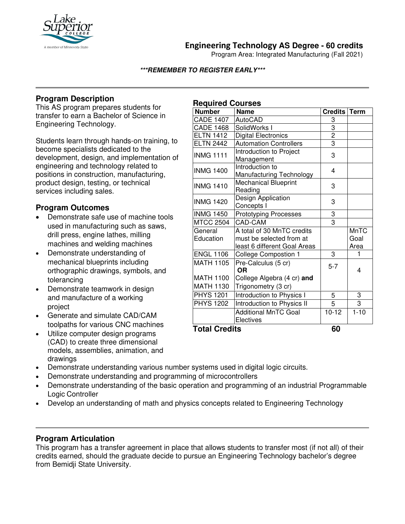

**Engineering Technology AS Degree - 60 credits**

Program Area: Integrated Manufacturing (Fall 2021)

### **\*\*\*REMEMBER TO REGISTER EARLY\*\*\***

# **Program Description**

This AS program prepares students for transfer to earn a Bachelor of Science in Engineering Technology.

Students learn through hands-on training, to become specialists dedicated to the development, design, and implementation of engineering and technology related to positions in construction, manufacturing, product design, testing, or technical services including sales.

# **Program Outcomes**

- Demonstrate safe use of machine tools used in manufacturing such as saws, drill press, engine lathes, milling machines and welding machines
- Demonstrate understanding of mechanical blueprints including orthographic drawings, symbols, and tolerancing
- Demonstrate teamwork in design and manufacture of a working project
- Generate and simulate CAD/CAM toolpaths for various CNC machines
- Utilize computer design programs (CAD) to create three dimensional models, assemblies, animation, and drawings

## **Required Courses**

| noqunou oourooo      |                                             |                |             |
|----------------------|---------------------------------------------|----------------|-------------|
| <b>Number</b>        | <b>Name</b>                                 | Credits Term   |             |
| <b>CADE 1407</b>     | <b>AutoCAD</b>                              | 3              |             |
| <b>CADE 1468</b>     | SolidWorks I                                | $\overline{3}$ |             |
| <b>ELTN 1412</b>     | <b>Digital Electronics</b>                  | $\overline{2}$ |             |
| <b>ELTN 2442</b>     | <b>Automation Controllers</b>               | $\overline{3}$ |             |
| <b>INMG 1111</b>     | Introduction to Project<br>Management       | 3              |             |
| <b>INMG 1400</b>     | Introduction to<br>Manufacturing Technology | 4              |             |
| <b>INMG 1410</b>     | <b>Mechanical Blueprint</b><br>Reading      | 3              |             |
| <b>INMG 1420</b>     | Design Application<br>Concepts I            | 3              |             |
| <b>INMG 1450</b>     | <b>Prototyping Processes</b>                | 3              |             |
| <b>MTCC 2504</b>     | CAD-CAM                                     | 3              |             |
| General              | A total of 30 MnTC credits                  |                | <b>MnTC</b> |
| Education            | must be selected from at                    |                | Goal        |
|                      | least 6 different Goal Areas                |                | Area        |
| <b>ENGL 1106</b>     | <b>College Compostion 1</b>                 | 3              | 1           |
| <b>MATH 1105</b>     | Pre-Calculus (5 cr)<br><b>OR</b>            | $5 - 7$        | 4           |
| <b>MATH 1100</b>     | College Algebra (4 cr) and                  |                |             |
| <b>MATH 1130</b>     | Trigonometry (3 cr)                         |                |             |
| <b>PHYS 1201</b>     | Introduction to Physics I                   | 5              | 3           |
| <b>PHYS 1202</b>     | Introduction to Physics II                  | 5              | 3           |
|                      | <b>Additional MnTC Goal</b><br>Electives    | $10-12$        | $1 - 10$    |
| <b>Total Credits</b> |                                             | 60             |             |

**Total Credits 60**

- Demonstrate understanding various number systems used in digital logic circuits.
- Demonstrate understanding and programming of microcontrollers
- Demonstrate understanding of the basic operation and programming of an industrial Programmable Logic Controller
- Develop an understanding of math and physics concepts related to Engineering Technology

# **Program Articulation**

This program has a transfer agreement in place that allows students to transfer most (if not all) of their credits earned, should the graduate decide to pursue an Engineering Technology bachelor's degree from Bemidji State University.